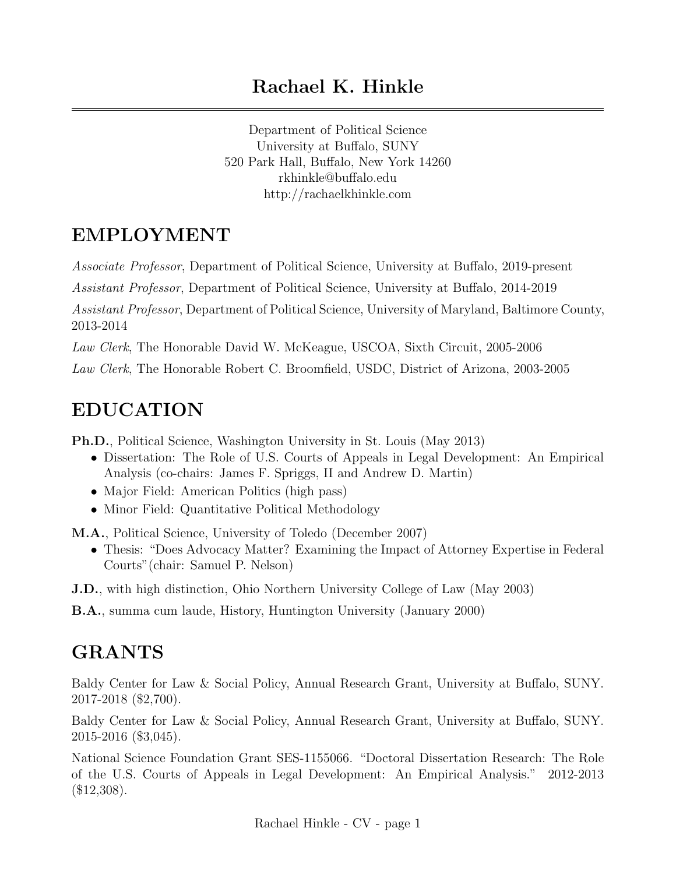Department of Political Science University at Buffalo, SUNY 520 Park Hall, Buffalo, New York 14260 rkhinkle@buffalo.edu http://rachaelkhinkle.com

## EMPLOYMENT

Associate Professor, Department of Political Science, University at Buffalo, 2019-present

Assistant Professor, Department of Political Science, University at Buffalo, 2014-2019

Assistant Professor, Department of Political Science, University of Maryland, Baltimore County, 2013-2014

Law Clerk, The Honorable David W. McKeague, USCOA, Sixth Circuit, 2005-2006

Law Clerk, The Honorable Robert C. Broomfield, USDC, District of Arizona, 2003-2005

## EDUCATION

Ph.D., Political Science, Washington University in St. Louis (May 2013)

- Dissertation: The Role of U.S. Courts of Appeals in Legal Development: An Empirical Analysis (co-chairs: James F. Spriggs, II and Andrew D. Martin)
- Major Field: American Politics (high pass)
- Minor Field: Quantitative Political Methodology

M.A., Political Science, University of Toledo (December 2007)

- Thesis: "Does Advocacy Matter? Examining the Impact of Attorney Expertise in Federal Courts"(chair: Samuel P. Nelson)
- J.D., with high distinction, Ohio Northern University College of Law (May 2003)

B.A., summa cum laude, History, Huntington University (January 2000)

# GRANTS

Baldy Center for Law & Social Policy, Annual Research Grant, University at Buffalo, SUNY. 2017-2018 (\$2,700).

Baldy Center for Law & Social Policy, Annual Research Grant, University at Buffalo, SUNY. 2015-2016 (\$3,045).

National Science Foundation Grant SES-1155066. "Doctoral Dissertation Research: The Role of the U.S. Courts of Appeals in Legal Development: An Empirical Analysis." 2012-2013  $($12,308).$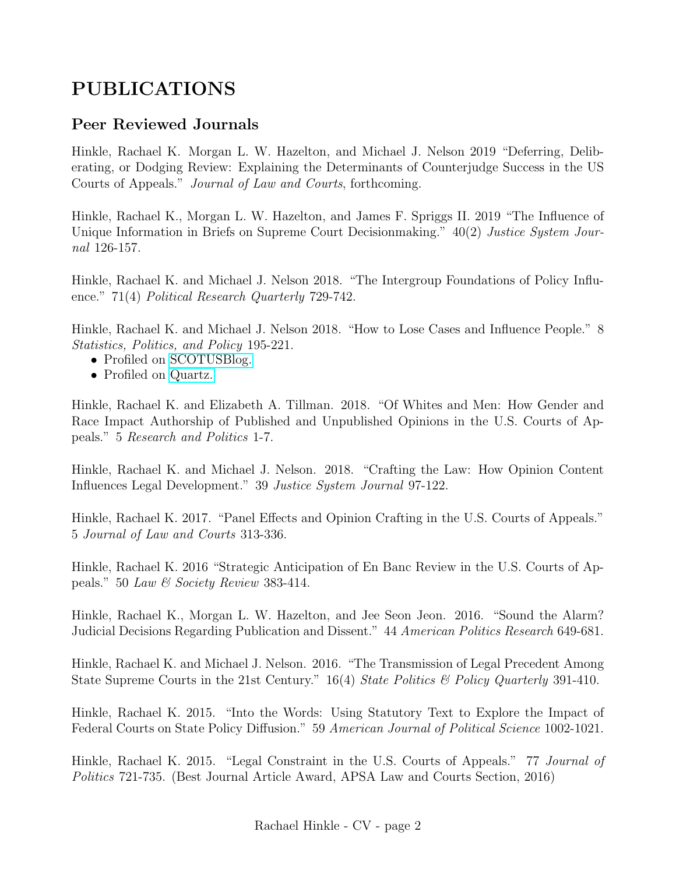## PUBLICATIONS

#### Peer Reviewed Journals

Hinkle, Rachael K. Morgan L. W. Hazelton, and Michael J. Nelson 2019 "Deferring, Deliberating, or Dodging Review: Explaining the Determinants of Counterjudge Success in the US Courts of Appeals." Journal of Law and Courts, forthcoming.

Hinkle, Rachael K., Morgan L. W. Hazelton, and James F. Spriggs II. 2019 "The Influence of Unique Information in Briefs on Supreme Court Decisionmaking." 40(2) Justice System Journal 126-157.

Hinkle, Rachael K. and Michael J. Nelson 2018. "The Intergroup Foundations of Policy Influence." 71(4) Political Research Quarterly 729-742.

Hinkle, Rachael K. and Michael J. Nelson 2018. "How to Lose Cases and Influence People." 8 Statistics, Politics, and Policy 195-221.

- Profiled on [SCOTUSBlog.](https://bit.ly/2jwTWiE)
- Profiled on [Quartz.](https://qz.com/1289603/a-new-study-makes-the-case-for-being-a-sore-loser/)

Hinkle, Rachael K. and Elizabeth A. Tillman. 2018. "Of Whites and Men: How Gender and Race Impact Authorship of Published and Unpublished Opinions in the U.S. Courts of Appeals." 5 Research and Politics 1-7.

Hinkle, Rachael K. and Michael J. Nelson. 2018. "Crafting the Law: How Opinion Content Influences Legal Development." 39 Justice System Journal 97-122.

Hinkle, Rachael K. 2017. "Panel Effects and Opinion Crafting in the U.S. Courts of Appeals." 5 Journal of Law and Courts 313-336.

Hinkle, Rachael K. 2016 "Strategic Anticipation of En Banc Review in the U.S. Courts of Appeals." 50 Law & Society Review 383-414.

Hinkle, Rachael K., Morgan L. W. Hazelton, and Jee Seon Jeon. 2016. "Sound the Alarm? Judicial Decisions Regarding Publication and Dissent." 44 American Politics Research 649-681.

Hinkle, Rachael K. and Michael J. Nelson. 2016. "The Transmission of Legal Precedent Among State Supreme Courts in the 21st Century." 16(4) State Politics & Policy Quarterly 391-410.

Hinkle, Rachael K. 2015. "Into the Words: Using Statutory Text to Explore the Impact of Federal Courts on State Policy Diffusion." 59 American Journal of Political Science 1002-1021.

Hinkle, Rachael K. 2015. "Legal Constraint in the U.S. Courts of Appeals." 77 Journal of Politics 721-735. (Best Journal Article Award, APSA Law and Courts Section, 2016)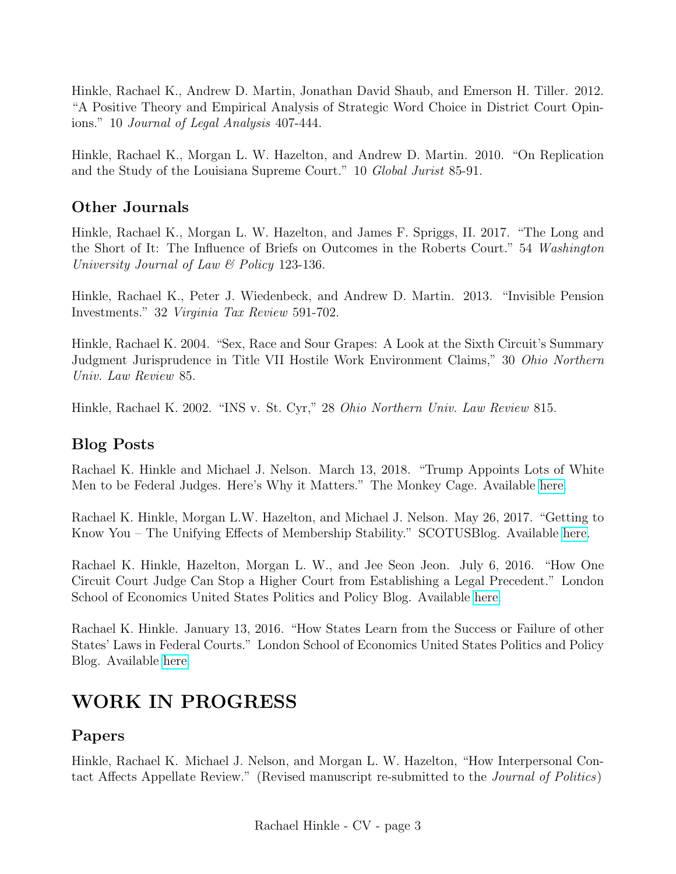Hinkle, Rachael K., Andrew D. Martin, Jonathan David Shaub, and Emerson H. Tiller. 2012. "A Positive Theory and Empirical Analysis of Strategic Word Choice in District Court Opinions." 10 Journal of Legal Analysis 407-444.

Hinkle, Rachael K., Morgan L. W. Hazelton, and Andrew D. Martin. 2010. "On Replication and the Study of the Louisiana Supreme Court." 10 Global Jurist 85-91.

#### Other Journals

Hinkle, Rachael K., Morgan L. W. Hazelton, and James F. Spriggs, II. 2017. "The Long and the Short of It: The Influence of Briefs on Outcomes in the Roberts Court." 54 Washington University Journal of Law & Policy 123-136.

Hinkle, Rachael K., Peter J. Wiedenbeck, and Andrew D. Martin. 2013. "Invisible Pension Investments." 32 Virginia Tax Review 591-702.

Hinkle, Rachael K. 2004. "Sex, Race and Sour Grapes: A Look at the Sixth Circuit's Summary Judgment Jurisprudence in Title VII Hostile Work Environment Claims," 30 Ohio Northern Univ. Law Review 85.

Hinkle, Rachael K. 2002. "INS v. St. Cyr," 28 Ohio Northern Univ. Law Review 815.

#### Blog Posts

Rachael K. Hinkle and Michael J. Nelson. March 13, 2018. "Trump Appoints Lots of White Men to be Federal Judges. Here's Why it Matters." The Monkey Cage. Available [here.](http://wapo.st/2GqW2eQ)

Rachael K. Hinkle, Morgan L.W. Hazelton, and Michael J. Nelson. May 26, 2017. "Getting to Know You – The Unifying Effects of Membership Stability." SCOTUSBlog. Available [here.](http://bit.ly/2vYdxRz)

Rachael K. Hinkle, Hazelton, Morgan L. W., and Jee Seon Jeon. July 6, 2016. "How One Circuit Court Judge Can Stop a Higher Court from Establishing a Legal Precedent." London School of Economics United States Politics and Policy Blog. Available [here.](http://blogs.lse.ac.uk/usappblog/2016/07/06/how-one-circuit-court-judge-can-stop-a-higher-court-from-establishing-a-legal-precedent/)

Rachael K. Hinkle. January 13, 2016. "How States Learn from the Success or Failure of other States' Laws in Federal Courts." London School of Economics United States Politics and Policy Blog. Available [here.](http://blogs.lse.ac.uk/usappblog/2016/01/13/how-states-learn-from-the-success-or-failure-of-other-states-laws-in-federal-courts/)

### WORK IN PROGRESS

#### Papers

Hinkle, Rachael K. Michael J. Nelson, and Morgan L. W. Hazelton, "How Interpersonal Contact Affects Appellate Review." (Revised manuscript re-submitted to the Journal of Politics)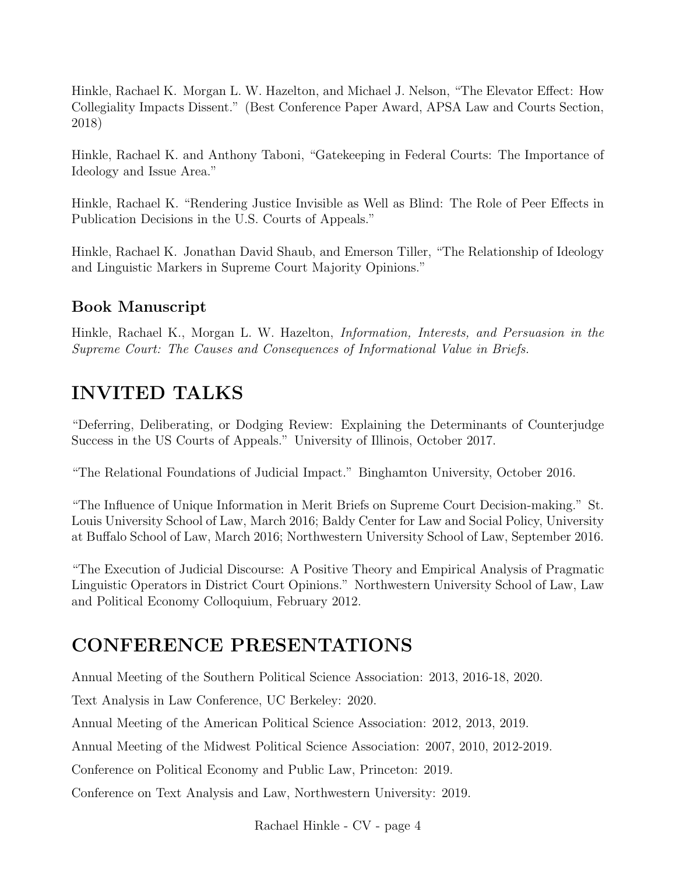Hinkle, Rachael K. Morgan L. W. Hazelton, and Michael J. Nelson, "The Elevator Effect: How Collegiality Impacts Dissent." (Best Conference Paper Award, APSA Law and Courts Section, 2018)

Hinkle, Rachael K. and Anthony Taboni, "Gatekeeping in Federal Courts: The Importance of Ideology and Issue Area."

Hinkle, Rachael K. "Rendering Justice Invisible as Well as Blind: The Role of Peer Effects in Publication Decisions in the U.S. Courts of Appeals."

Hinkle, Rachael K. Jonathan David Shaub, and Emerson Tiller, "The Relationship of Ideology and Linguistic Markers in Supreme Court Majority Opinions."

### Book Manuscript

Hinkle, Rachael K., Morgan L. W. Hazelton, Information, Interests, and Persuasion in the Supreme Court: The Causes and Consequences of Informational Value in Briefs.

### INVITED TALKS

"Deferring, Deliberating, or Dodging Review: Explaining the Determinants of Counterjudge Success in the US Courts of Appeals." University of Illinois, October 2017.

"The Relational Foundations of Judicial Impact." Binghamton University, October 2016.

"The Influence of Unique Information in Merit Briefs on Supreme Court Decision-making." St. Louis University School of Law, March 2016; Baldy Center for Law and Social Policy, University at Buffalo School of Law, March 2016; Northwestern University School of Law, September 2016.

"The Execution of Judicial Discourse: A Positive Theory and Empirical Analysis of Pragmatic Linguistic Operators in District Court Opinions." Northwestern University School of Law, Law and Political Economy Colloquium, February 2012.

### CONFERENCE PRESENTATIONS

Annual Meeting of the Southern Political Science Association: 2013, 2016-18, 2020.

Text Analysis in Law Conference, UC Berkeley: 2020.

Annual Meeting of the American Political Science Association: 2012, 2013, 2019.

Annual Meeting of the Midwest Political Science Association: 2007, 2010, 2012-2019.

Conference on Political Economy and Public Law, Princeton: 2019.

Conference on Text Analysis and Law, Northwestern University: 2019.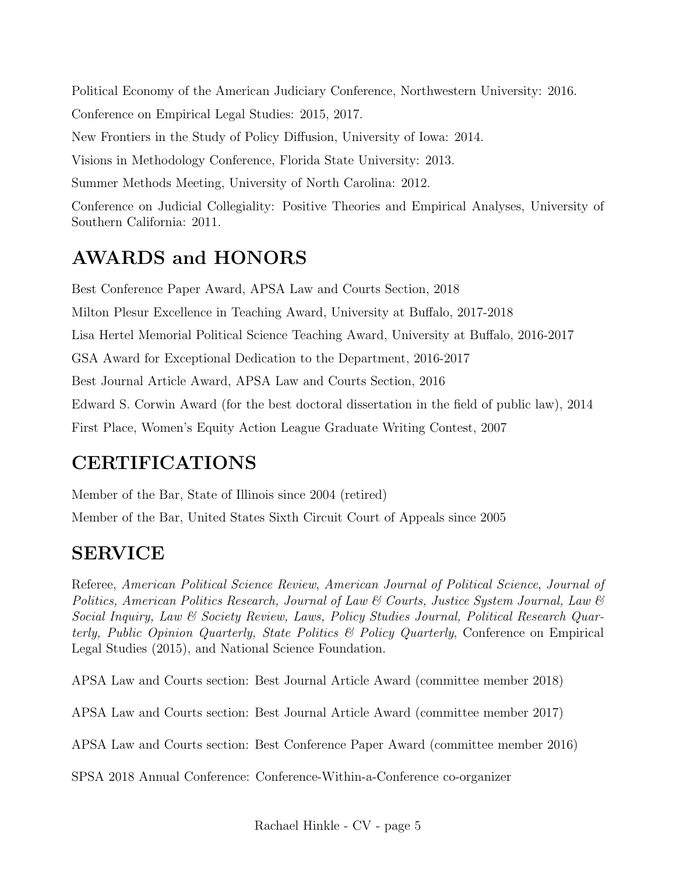Political Economy of the American Judiciary Conference, Northwestern University: 2016. Conference on Empirical Legal Studies: 2015, 2017.

New Frontiers in the Study of Policy Diffusion, University of Iowa: 2014.

Visions in Methodology Conference, Florida State University: 2013.

Summer Methods Meeting, University of North Carolina: 2012.

Conference on Judicial Collegiality: Positive Theories and Empirical Analyses, University of Southern California: 2011.

### AWARDS and HONORS

Best Conference Paper Award, APSA Law and Courts Section, 2018 Milton Plesur Excellence in Teaching Award, University at Buffalo, 2017-2018 Lisa Hertel Memorial Political Science Teaching Award, University at Buffalo, 2016-2017 GSA Award for Exceptional Dedication to the Department, 2016-2017 Best Journal Article Award, APSA Law and Courts Section, 2016 Edward S. Corwin Award (for the best doctoral dissertation in the field of public law), 2014 First Place, Women's Equity Action League Graduate Writing Contest, 2007

### CERTIFICATIONS

Member of the Bar, State of Illinois since 2004 (retired)

Member of the Bar, United States Sixth Circuit Court of Appeals since 2005

## SERVICE

Referee, American Political Science Review, American Journal of Political Science, Journal of Politics, American Politics Research, Journal of Law & Courts, Justice System Journal, Law & Social Inquiry, Law & Society Review, Laws, Policy Studies Journal, Political Research Quarterly, Public Opinion Quarterly, State Politics & Policy Quarterly, Conference on Empirical Legal Studies (2015), and National Science Foundation.

APSA Law and Courts section: Best Journal Article Award (committee member 2018)

APSA Law and Courts section: Best Journal Article Award (committee member 2017)

APSA Law and Courts section: Best Conference Paper Award (committee member 2016)

SPSA 2018 Annual Conference: Conference-Within-a-Conference co-organizer